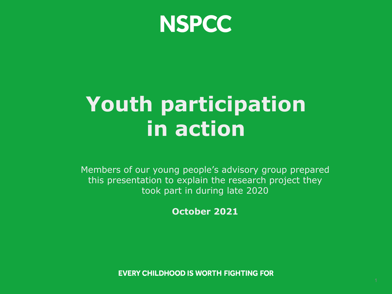

# **Youth participation in action**

Members of our young people's advisory group prepared this presentation to explain the research project they took part in during late 2020

**October 2021**

**EVERY CHILDHOOD IS WORTH FIGHTING FOR**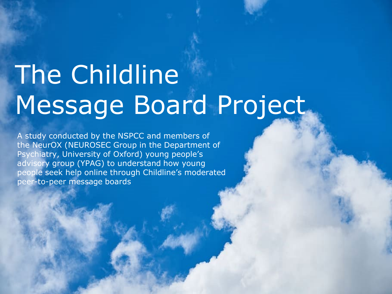# The Childline Message Board Project

A study conducted by the NSPCC and members of the NeurOX (NEUROSEC Group in the Department of Psychiatry, University of Oxford) young people's advisory group (YPAG) to understand how young people seek help online through Childline's moderated peer-to-peer message boards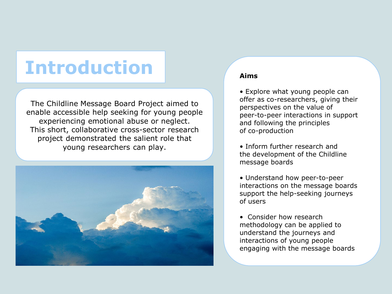### **Introduction Aims**

The Childline Message Board Project aimed to enable accessible help seeking for young people experiencing emotional abuse or neglect. This short, collaborative cross-sector research project demonstrated the salient role that young researchers can play.



• Explore what young people can offer as co-researchers, giving their perspectives on the value of peer-to-peer interactions in support and following the principles of co-production

• Inform further research and the development of the Childline message boards

• Understand how peer-to-peer interactions on the message boards support the help-seeking journeys of users

• Consider how research methodology can be applied to understand the journeys and interactions of young people engaging with the message boards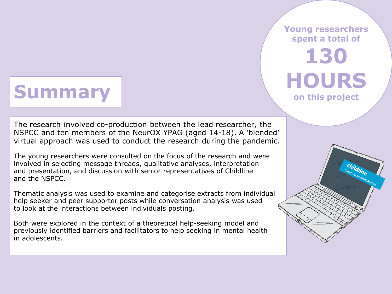### **Summary**

**Young researchers spent a total of** 

# **130 HOURS**

**on this project**

The research involved co-production between the lead researcher, the NSPCC and ten members of the NeurOX YPAG (aged 14-18). A 'blended' virtual approach was used to conduct the research during the pandemic.

The young researchers were consulted on the focus of the research and were involved in selecting message threads, qualitative analyses, interpretation and presentation, and discussion with senior representatives of Childline and the NSPCC.

Thematic analysis was used to examine and categorise extracts from individual help seeker and peer supporter posts while conversation analysis was used to look at the interactions between individuals posting.

Both were explored in the context of a theoretical help-seeking model and previously identified barriers and facilitators to help seeking in mental health in adolescents.

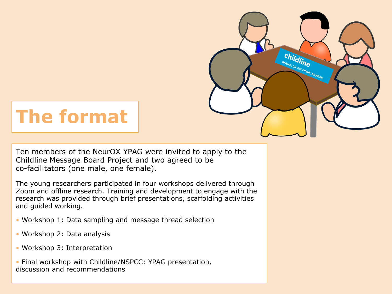

# **The format**

Ten members of the NeurOX YPAG were invited to apply to the Childline Message Board Project and two agreed to be co-facilitators (one male, one female).

The young researchers participated in four workshops delivered through Zoom and offline research. Training and development to engage with the research was provided through brief presentations, scaffolding activities and guided working.

- Workshop 1: Data sampling and message thread selection
- Workshop 2: Data analysis
- Workshop 3: Interpretation

• Final workshop with Childline/NSPCC: YPAG presentation, discussion and recommendations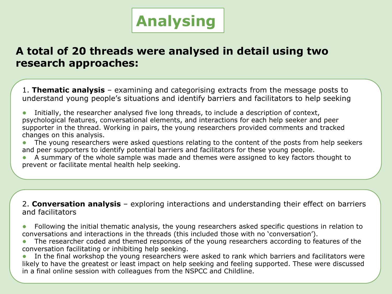

### **A total of 20 threads were analysed in detail using two research approaches:**

1. **Thematic analysis** – examining and categorising extracts from the message posts to understand young people's situations and identify barriers and facilitators to help seeking

Initially, the researcher analysed five long threads, to include a description of context, psychological features, conversational elements, and interactions for each help seeker and peer supporter in the thread. Working in pairs, the young researchers provided comments and tracked changes on this analysis.

The young researchers were asked questions relating to the content of the posts from help seekers and peer supporters to identify potential barriers and facilitators for these young people.

A summary of the whole sample was made and themes were assigned to key factors thought to prevent or facilitate mental health help seeking.

2. **Conversation analysis** – exploring interactions and understanding their effect on barriers and facilitators

- Following the initial thematic analysis, the young researchers asked specific questions in relation to conversations and interactions in the threads (this included those with no 'conversation').
- The researcher coded and themed responses of the young researchers according to features of the conversation facilitating or inhibiting help seeking.
- In the final workshop the young researchers were asked to rank which barriers and facilitators were likely to have the greatest or least impact on help seeking and feeling supported. These were discussed in a final online session with colleagues from the NSPCC and Childline.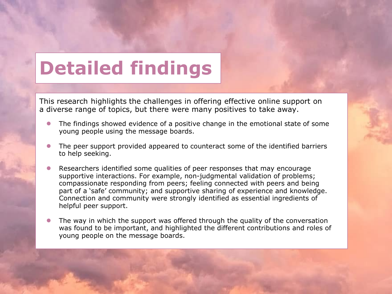## **Detailed findings**

This research highlights the challenges in offering effective online support on a diverse range of topics, but there were many positives to take away.

- The findings showed evidence of a positive change in the emotional state of some young people using the message boards.
- The peer support provided appeared to counteract some of the identified barriers to help seeking.
- Researchers identified some qualities of peer responses that may encourage supportive interactions. For example, non-judgmental validation of problems; compassionate responding from peers; feeling connected with peers and being part of a 'safe' community; and supportive sharing of experience and knowledge. Connection and community were strongly identified as essential ingredients of helpful peer support.
- The way in which the support was offered through the quality of the conversation was found to be important, and highlighted the different contributions and roles of young people on the message boards.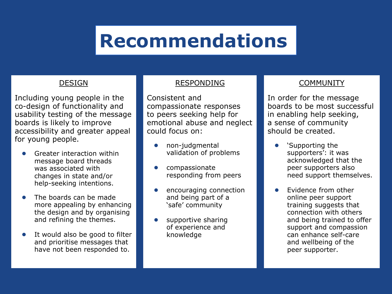### **Recommendations**

#### DESIGN

Including young people in the co-design of functionality and usability testing of the message boards is likely to improve accessibility and greater appeal for young people.

- Greater interaction within message board threads was associated with changes in state and/or help-seeking intentions.
- The boards can be made more appealing by enhancing the design and by organising and refining the themes.
- It would also be good to filter and prioritise messages that have not been responded to.

#### RESPONDING

Consistent and compassionate responses to peers seeking help for emotional abuse and neglect could focus on:

- non-judgmental validation of problems
- compassionate responding from peers
- encouraging connection and being part of a 'safe' community
- supportive sharing of experience and knowledge

#### COMMUNITY

In order for the message boards to be most successful in enabling help seeking, a sense of community should be created.

- 'Supporting the supporters': it was acknowledged that the peer supporters also need support themselves.
- Evidence from other online peer support training suggests that connection with others and being trained to offer support and compassion can enhance self-care and wellbeing of the peer supporter.